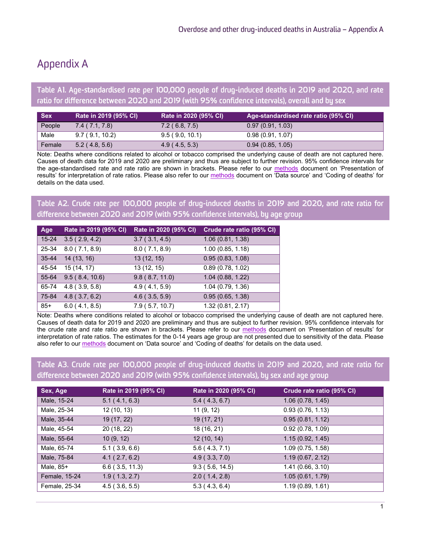# Appendix A

Table A1. Age-standardised rate per 100,000 people of drug-induced deaths in 2019 and 2020, and rate ratio for difference between 2020 and 2019 (with 95% confidence intervals), overall and by sex

| <b>Sex</b> | Rate in 2019 (95% CI) | Rate in 2020 (95% CI) | Age-standardised rate ratio (95% CI) |
|------------|-----------------------|-----------------------|--------------------------------------|
| People     | 7.4(7.1, 7.8)         | 7.2(6.8, 7.5)         | 0.97(0.91, 1.03)                     |
| Male       | 9.7(9.1, 10.2)        | 9.5(9.0, 10.1)        | 0.98(0.91, 1.07)                     |
| Female     | 5.2(4.8, 5.6)         | 4.9(4.5, 5.3)         | 0.94(0.85, 1.05)                     |

Note: Deaths where conditions related to alcohol or tobacco comprised the underlying cause of death are not captured here. Causes of death data for 2019 and 2020 are preliminary and thus are subject to further revision. 95% confidence intervals for the age-standardised rate and rate ratio are shown in brackets. Please refer to our [methods](https://ndarc.med.unsw.edu.au/resource-analytics/trends-drug-induced-deaths-australia-1997-2020) document on 'Presentation of results' for interpretation of rate ratios. Please also refer to our [methods](https://ndarc.med.unsw.edu.au/resource-analytics/trends-drug-induced-deaths-australia-1997-2020) document on 'Data source' and 'Coding of deaths' for details on the data used.

Table A2. Crude rate per 100,000 people of drug-induced deaths in 2019 and 2020, and rate ratio for difference between 2020 and 2019 (with 95% confidence intervals), by age group

| Age       | Rate in 2019 (95% CI) | Rate in 2020 (95% CI) | Crude rate ratio (95% CI) |
|-----------|-----------------------|-----------------------|---------------------------|
| $15 - 24$ | 3.5(2.9, 4.2)         | 3.7(3.1, 4.5)         | 1.06(0.81, 1.38)          |
| 25-34     | 8.0(7.1, 8.9)         | 8.0(7.1, 8.9)         | 1.00(0.85, 1.18)          |
| $35 - 44$ | 14(13, 16)            | 13(12, 15)            | 0.95(0.83, 1.08)          |
| 45-54     | 15(14, 17)            | 13 (12, 15)           | 0.89(0.78, 1.02)          |
| 55-64     | 9.5(8.4, 10.6)        | 9.8(8.7, 11.0)        | 1.04(0.88, 1.22)          |
| 65-74     | $4.8$ (3.9, 5.8)      | 4.9(4.1, 5.9)         | 1.04(0.79, 1.36)          |
| 75-84     | 4.8(3.7, 6.2)         | $4.6$ (3.5, 5.9)      | 0.95(0.65, 1.38)          |
| $85+$     | 6.0(4.1, 8.5)         | 7.9(5.7, 10.7)        | 1.32 (0.81, 2.17)         |

Note: Deaths where conditions related to alcohol or tobacco comprised the underlying cause of death are not captured here. Causes of death data for 2019 and 2020 are preliminary and thus are subject to further revision. 95% confidence intervals for the crude rate and rate ratio are shown in brackets. Please refer to our [methods](https://ndarc.med.unsw.edu.au/resource-analytics/trends-drug-induced-deaths-australia-1997-2020) document on 'Presentation of results' for interpretation of rate ratios. The estimates for the 0-14 years age group are not presented due to sensitivity of the data. Please also refer to our **methods** document on 'Data source' and 'Coding of deaths' for details on the data used.

Table A3. Crude rate per 100,000 people of drug-induced deaths in 2019 and 2020, and rate ratio for difference between 2020 and 2019 (with 95% confidence intervals), by sex and age group

| Sex, Age      | Rate in 2019 (95% CI) | Rate in 2020 (95% CI) | Crude rate ratio (95% CI) |
|---------------|-----------------------|-----------------------|---------------------------|
| Male, 15-24   | 5.1(4.1, 6.3)         | 5.4(4.3, 6.7)         | 1.06(0.78, 1.45)          |
| Male, 25-34   | 12(10, 13)            | 11(9, 12)             | 0.93(0.76, 1.13)          |
| Male, 35-44   | 19 (17, 22)           | 19 (17, 21)           | 0.95(0.81, 1.12)          |
| Male, 45-54   | 20 (18, 22)           | 18 (16, 21)           | 0.92(0.78, 1.09)          |
| Male, 55-64   | 10(9, 12)             | 12(10, 14)            | 1.15(0.92, 1.45)          |
| Male, 65-74   | 5.1(3.9, 6.6)         | 5.6(4.3, 7.1)         | 1.09(0.75, 1.58)          |
| Male, 75-84   | 4.1(2.7, 6.2)         | 4.9(3.3, 7.0)         | 1.19(0.67, 2.12)          |
| Male, 85+     | $6.6$ (3.5, 11.3)     | 9.3(5.6, 14.5)        | 1.41(0.66, 3.10)          |
| Female, 15-24 | 1.9(1.3, 2.7)         | 2.0(1.4, 2.8)         | 1.05(0.61, 1.79)          |
| Female, 25-34 | 4.5(3.6, 5.5)         | 5.3(4.3, 6.4)         | 1.19(0.89, 1.61)          |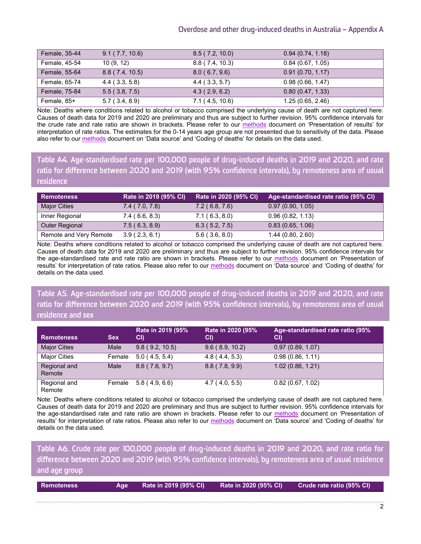#### Overdose and other drug-induced deaths in Australia – Appendix A

| Female, 35-44 | 9.1(7.7, 10.6)       | 8.5(7.2, 10.0) | 0.94(0.74, 1.18) |
|---------------|----------------------|----------------|------------------|
| Female, 45-54 | 10(9, 12)            | 8.8(7.4, 10.3) | 0.84(0.67, 1.05) |
| Female, 55-64 | 8.8(7.4, 10.5)       | 8.0(6.7, 9.6)  | 0.91(0.70, 1.17) |
| Female, 65-74 | $4.4$ ( $3.3, 5.8$ ) | 4.4(3.3, 5.7)  | 0.98(0.66, 1.47) |
| Female, 75-84 | 5.5(3.8, 7.5)        | 4.3(2.9, 6.2)  | 0.80(0.47, 1.33) |
| Female, 85+   | 5.7(3.4, 8.9)        | 7.1(4.5, 10.6) | 1.25(0.65, 2.46) |

Note: Deaths where conditions related to alcohol or tobacco comprised the underlying cause of death are not captured here. Causes of death data for 2019 and 2020 are preliminary and thus are subject to further revision. 95% confidence intervals for the crude rate and rate ratio are shown in brackets. Please refer to our [methods](https://ndarc.med.unsw.edu.au/resource-analytics/trends-drug-induced-deaths-australia-1997-2020) document on 'Presentation of results' for interpretation of rate ratios. The estimates for the 0-14 years age group are not presented due to sensitivity of the data. Please also refer to ou[r methods](https://ndarc.med.unsw.edu.au/resource-analytics/trends-drug-induced-deaths-australia-1997-2020) document on 'Data source' and 'Coding of deaths' for details on the data used.

Table A4. Age-standardised rate per 100,000 people of drug-induced deaths in 2019 and 2020, and rate ratio for difference between 2020 and 2019 (with 95% confidence intervals), by remoteness area of usual residence

| <b>Remoteness</b>      | Rate in 2019 (95% CI) | Rate in 2020 (95% CI) | Age-standardised rate ratio (95% CI) |
|------------------------|-----------------------|-----------------------|--------------------------------------|
| <b>Major Cities</b>    | 7.4(7.0, 7.8)         | 7.2(6.8, 7.6)         | 0.97(0.90, 1.05)                     |
| Inner Regional         | 7.4(6.6, 8.3)         | 7.1(6.3, 8.0)         | 0.96(0.82, 1.13)                     |
| <b>Outer Regional</b>  | 7.5(6.3, 8.9)         | 6.3(5.2, 7.5)         | 0.83(0.65, 1.06)                     |
| Remote and Very Remote | 3.9(2.3, 6.1)         | $5.6$ (3.6, 8.0)      | 1.44(0.80, 2.60)                     |

Note: Deaths where conditions related to alcohol or tobacco comprised the underlying cause of death are not captured here. Causes of death data for 2019 and 2020 are preliminary and thus are subject to further revision. 95% confidence intervals for the age-standardised rate and rate ratio are shown in brackets. Please refer to our [methods](https://ndarc.med.unsw.edu.au/resource-analytics/trends-drug-induced-deaths-australia-1997-2020) document on 'Presentation of results' for interpretation of rate ratios. Please also refer to our [methods](https://ndarc.med.unsw.edu.au/resource-analytics/trends-drug-induced-deaths-australia-1997-2020) document on 'Data source' and 'Coding of deaths' for details on the data used.

Table A5. Age-standardised rate per 100,000 people of drug-induced deaths in 2019 and 2020, and rate ratio for difference between 2020 and 2019 (with 95% confidence intervals), by remoteness area of usual residence and sex

| Remoteness             | <b>Sex</b> | Rate in 2019 (95%<br>CI) | Rate in 2020 (95%<br>CI) | Age-standardised rate ratio (95%<br>CI) |
|------------------------|------------|--------------------------|--------------------------|-----------------------------------------|
| <b>Major Cities</b>    | Male       | 9.8(9.2, 10.5)           | 9.6(8.9, 10.2)           | 0.97(0.89, 1.07)                        |
| <b>Major Cities</b>    | Female     | 5.0(4.5, 5.4)            | 4.8(4.4, 5.3)            | 0.98(0.86, 1.11)                        |
| Regional and<br>Remote | Male       | 8.6(7.6, 9.7)            | 8.8(7.8, 9.9)            | 1.02(0.86, 1.21)                        |
| Regional and<br>Remote | Female     | 5.8(4.9, 6.6)            | 4.7(4.0, 5.5)            | 0.82(0.67, 1.02)                        |

Note: Deaths where conditions related to alcohol or tobacco comprised the underlying cause of death are not captured here. Causes of death data for 2019 and 2020 are preliminary and thus are subject to further revision. 95% confidence intervals for the age-standardised rate and rate ratio are shown in brackets. Please refer to our [methods](https://ndarc.med.unsw.edu.au/resource-analytics/trends-drug-induced-deaths-australia-1997-2020) document on 'Presentation of results' for interpretation of rate ratios. Please also refer to our [methods](https://ndarc.med.unsw.edu.au/resource-analytics/trends-drug-induced-deaths-australia-1997-2020) document on 'Data source' and 'Coding of deaths' for details on the data used.

Table A6. Crude rate per 100,000 people of drug-induced deaths in 2019 and 2020, and rate ratio for difference between 2020 and 2019 (with 95% confidence intervals), by remoteness area of usual residence and age group

| l Remoteness | Age a | Rate in 2019 (95% CI) | Rate in 2020 (95% CI) | Crude rate ratio (95% CI) |
|--------------|-------|-----------------------|-----------------------|---------------------------|
|              |       |                       |                       |                           |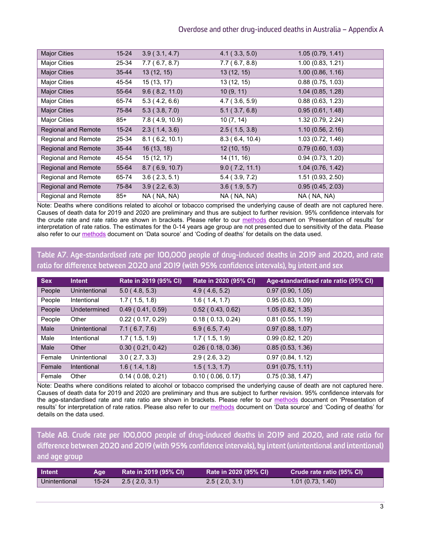| <b>Major Cities</b>        | $15 - 24$ | 3.9(3.1, 4.7)               | 4.1(3.3, 5.0)    | 1.05(0.79, 1.41)  |
|----------------------------|-----------|-----------------------------|------------------|-------------------|
| <b>Major Cities</b>        | 25-34     | 7.7(6.7, 8.7)               | 7.7(6.7, 8.8)    | 1.00(0.83, 1.21)  |
| <b>Major Cities</b>        | $35 - 44$ | 13(12, 15)                  | 13(12, 15)       | 1.00(0.86, 1.16)  |
| <b>Major Cities</b>        | 45-54     | 15(13, 17)                  | 13(12, 15)       | 0.88(0.75, 1.03)  |
| <b>Major Cities</b>        | 55-64     | 9.6(8.2, 11.0)              | 10(9, 11)        | 1.04(0.85, 1.28)  |
| <b>Major Cities</b>        | 65-74     | $\overline{5.3}$ (4.2, 6.6) | $4.7$ (3.6, 5.9) | 0.88(0.63, 1.23)  |
| <b>Major Cities</b>        | 75-84     | 5.3(3.8, 7.0)               | 5.1(3.7, 6.8)    | 0.95(0.61, 1.48)  |
| <b>Major Cities</b>        | 85+       | 7.8 (4.9, 10.9)             | 10(7, 14)        | 1.32 (0.79, 2.24) |
| <b>Regional and Remote</b> | $15 - 24$ | 2.3(1.4, 3.6)               | 2.5(1.5, 3.8)    | 1.10(0.56, 2.16)  |
| Regional and Remote        | 25-34     | 8.1(6.2, 10.1)              | 8.3(6.4, 10.4)   | 1.03 (0.72, 1.46) |
| <b>Regional and Remote</b> | $35 - 44$ | 16(13, 18)                  | 12(10, 15)       | 0.79(0.60, 1.03)  |
| Regional and Remote        | 45-54     | 15 (12, 17)                 | 14 (11, 16)      | 0.94(0.73, 1.20)  |
| <b>Regional and Remote</b> | 55-64     | 8.7(6.9, 10.7)              | 9.0(7.2, 11.1)   | 1.04(0.76, 1.42)  |
| Regional and Remote        | 65-74     | 3.6(2.3, 5.1)               | $5.4$ (3.9, 7.2) | 1.51(0.93, 2.50)  |
| <b>Regional and Remote</b> | 75-84     | 3.9(2.2, 6.3)               | 3.6(1.9, 5.7)    | 0.95(0.45, 2.03)  |
| Regional and Remote        | 85+       | NA (NA, NA)                 | NA (NA, NA)      | NA (NA, NA)       |

Note: Deaths where conditions related to alcohol or tobacco comprised the underlying cause of death are not captured here. Causes of death data for 2019 and 2020 are preliminary and thus are subject to further revision. 95% confidence intervals for the crude rate and rate ratio are shown in brackets. Please refer to our [methods](https://ndarc.med.unsw.edu.au/resource-analytics/trends-drug-induced-deaths-australia-1997-2020) document on 'Presentation of results' for interpretation of rate ratios. The estimates for the 0-14 years age group are not presented due to sensitivity of the data. Please also refer to ou[r methods](https://ndarc.med.unsw.edu.au/resource-analytics/trends-drug-induced-deaths-australia-1997-2020) document on 'Data source' and 'Coding of deaths' for details on the data used.

### Table A7. Age-standardised rate per 100,000 people of drug-induced deaths in 2019 and 2020, and rate ratio for difference between 2020 and 2019 (with 95% confidence intervals), by intent and sex

| <b>Sex</b> | <b>Intent</b>      | Rate in 2019 (95% CI)      | Rate in 2020 (95% CI) | Age-standardised rate ratio (95% CI) |
|------------|--------------------|----------------------------|-----------------------|--------------------------------------|
| People     | Unintentional      | 5.0(4.8, 5.3)              | 4.9(4.6, 5.2)         | 0.97(0.90, 1.05)                     |
| People     | Intentional        | 1.7(1.5, 1.8)              | 1.6(1.4, 1.7)         | 0.95(0.83, 1.09)                     |
| People     | Undetermined       | 0.49(0.41, 0.59)           | 0.52(0.43, 0.62)      | 1.05(0.82, 1.35)                     |
| People     | Other              | $0.22$ ( $0.17, 0.29$ )    | 0.18(0.13, 0.24)      | 0.81(0.55, 1.19)                     |
| Male       | Unintentional      | 7.1(6.7, 7.6)              | 6.9(6.5, 7.4)         | 0.97(0.88, 1.07)                     |
| Male       | Intentional        | 1.7(1.5, 1.9)              | 1.7(1.5, 1.9)         | 0.99(0.82, 1.20)                     |
| Male       | Other              | 0.30(0.21, 0.42)           | 0.26(0.18, 0.36)      | 0.85(0.53, 1.36)                     |
| Female     | Unintentional      | 3.0(2.7, 3.3)              | 2.9(2.6, 3.2)         | 0.97(0.84, 1.12)                     |
| Female     | <b>Intentional</b> | 1.6(1.4, 1.8)              | 1.5(1.3, 1.7)         | 0.91(0.75, 1.11)                     |
| Female     | Other              | $0.14$ ( $0.08$ , $0.21$ ) | 0.10(0.06, 0.17)      | 0.75(0.38, 1.47)                     |

Note: Deaths where conditions related to alcohol or tobacco comprised the underlying cause of death are not captured here. Causes of death data for 2019 and 2020 are preliminary and thus are subject to further revision. 95% confidence intervals for the age-standardised rate and rate ratio are shown in brackets. Please refer to our [methods](https://ndarc.med.unsw.edu.au/resource-analytics/trends-drug-induced-deaths-australia-1997-2020) document on 'Presentation of results' for interpretation of rate ratios. Please also refer to our [methods](https://ndarc.med.unsw.edu.au/resource-analytics/trends-drug-induced-deaths-australia-1997-2020) document on 'Data source' and 'Coding of deaths' for details on the data used.

Table A8. Crude rate per 100,000 people of drug-induced deaths in 2019 and 2020, and rate ratio for difference between 2020 and 2019 (with 95% confidence intervals), by intent (unintentional and intentional) and age group

| Intent        | Age     | Rate in 2019 (95% CI) | Rate in 2020 (95% CI) | Crude rate ratio (95% CI) |
|---------------|---------|-----------------------|-----------------------|---------------------------|
| Unintentional | $15-24$ | 2.5(2.0, 3.1)         | 2.5(2.0, 3.1)         | 1.01(0.73, 1.40)          |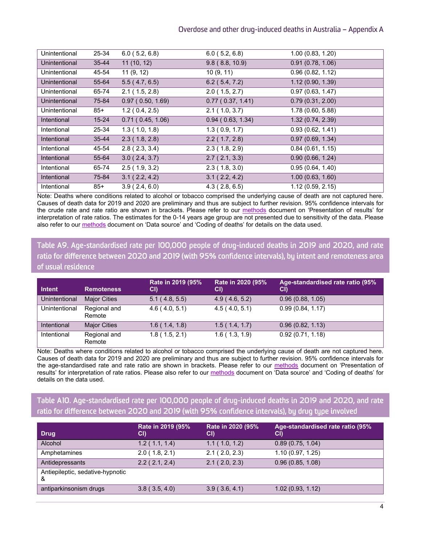| Unintentional      | 25-34     | 6.0(5.2, 6.8)    | $6.0$ (5.2, 6.8) | 1.00(0.83, 1.20)  |
|--------------------|-----------|------------------|------------------|-------------------|
| Unintentional      | $35 - 44$ | 11(10, 12)       | 9.8(8.8, 10.9)   | 0.91(0.78, 1.06)  |
| Unintentional      | 45-54     | 11(9, 12)        | 10(9, 11)        | 0.96(0.82, 1.12)  |
| Unintentional      | 55-64     | 5.5(4.7, 6.5)    | $6.2$ (5.4, 7.2) | 1.12(0.90, 1.39)  |
| Unintentional      | 65-74     | 2.1(1.5, 2.8)    | 2.0(1.5, 2.7)    | 0.97(0.63, 1.47)  |
| Unintentional      | 75-84     | 0.97(0.50, 1.69) | 0.77(0.37, 1.41) | 0.79(0.31, 2.00)  |
| Unintentional      | 85+       | 1.2(0.4, 2.5)    | 2.1(1.0, 3.7)    | 1.78(0.60, 5.88)  |
| <b>Intentional</b> | $15 - 24$ | 0.71(0.45, 1.06) | 0.94(0.63, 1.34) | 1.32 (0.74, 2.39) |
| Intentional        | 25-34     | 1.3(1.0, 1.8)    | 1.3(0.9, 1.7)    | 0.93(0.62, 1.41)  |
| <b>Intentional</b> | $35 - 44$ | 2.3(1.8, 2.8)    | 2.2(1.7, 2.8)    | 0.97(0.69, 1.34)  |
| Intentional        | 45-54     | 2.8(2.3, 3.4)    | 2.3(1.8, 2.9)    | 0.84(0.61, 1.15)  |
| <b>Intentional</b> | 55-64     | 3.0(2.4, 3.7)    | 2.7(2.1, 3.3)    | 0.90(0.66, 1.24)  |
| Intentional        | 65-74     | 2.5(1.9, 3.2)    | 2.3(1.8, 3.0)    | 0.95(0.64, 1.40)  |
| <b>Intentional</b> | 75-84     | 3.1(2.2, 4.2)    | 3.1(2.2, 4.2)    | 1.00(0.63, 1.60)  |
| Intentional        | 85+       | 3.9(2.4, 6.0)    | 4.3(2.8, 6.5)    | 1.12(0.59, 2.15)  |

Note: Deaths where conditions related to alcohol or tobacco comprised the underlying cause of death are not captured here. Causes of death data for 2019 and 2020 are preliminary and thus are subject to further revision. 95% confidence intervals for the crude rate and rate ratio are shown in brackets. Please refer to our [methods](https://ndarc.med.unsw.edu.au/resource-analytics/trends-drug-induced-deaths-australia-1997-2020) document on 'Presentation of results' for interpretation of rate ratios. The estimates for the 0-14 years age group are not presented due to sensitivity of the data. Please also refer to ou[r methods](https://ndarc.med.unsw.edu.au/resource-analytics/trends-drug-induced-deaths-australia-1997-2020) document on 'Data source' and 'Coding of deaths' for details on the data used.

Table A9. Age-standardised rate per 100,000 people of drug-induced deaths in 2019 and 2020, and rate ratio for difference between 2020 and 2019 (with 95% confidence intervals), by intent and remoteness area of usual residence

| <b>Intent</b> | <b>Remoteness</b>      | Rate in 2019 (95%<br>CI) | Rate in 2020 (95%<br>CI) | Age-standardised rate ratio (95%<br>CI) |
|---------------|------------------------|--------------------------|--------------------------|-----------------------------------------|
| Unintentional | <b>Major Cities</b>    | 5.1(4.8, 5.5)            | 4.9(4.6, 5.2)            | 0.96(0.88, 1.05)                        |
| Unintentional | Regional and<br>Remote | 4.6(4.0, 5.1)            | 4.5(4.0, 5.1)            | 0.99(0.84, 1.17)                        |
| Intentional   | <b>Major Cities</b>    | 1.6(1.4, 1.8)            | 1.5(1.4, 1.7)            | 0.96(0.82, 1.13)                        |
| Intentional   | Regional and<br>Remote | 1.8(1.5, 2.1)            | 1.6(1.3, 1.9)            | 0.92(0.71, 1.18)                        |

Note: Deaths where conditions related to alcohol or tobacco comprised the underlying cause of death are not captured here. Causes of death data for 2019 and 2020 are preliminary and thus are subject to further revision. 95% confidence intervals for the age-standardised rate and rate ratio are shown in brackets. Please refer to our [methods](https://ndarc.med.unsw.edu.au/resource-analytics/trends-drug-induced-deaths-australia-1997-2020) document on 'Presentation of results' for interpretation of rate ratios. Please also refer to our [methods](https://ndarc.med.unsw.edu.au/resource-analytics/trends-drug-induced-deaths-australia-1997-2020) document on Data source' and 'Coding of deaths' for details on the data used.

### Table A10. Age-standardised rate per 100,000 people of drug-induced deaths in 2019 and 2020, and rate ratio for difference between 2020 and 2019 (with 95% confidence intervals), by drug type involved

| <b>Drug</b>                           | Rate in 2019 (95%<br>CI) | Rate in 2020 (95%<br>CI) | Age-standardised rate ratio (95%<br>CI) |
|---------------------------------------|--------------------------|--------------------------|-----------------------------------------|
| Alcohol                               | 1.2(1.1, 1.4)            | 1.1(1.0, 1.2)            | 0.89(0.75, 1.04)                        |
| Amphetamines                          | 2.0(1.8, 2.1)            | 2.1(2.0, 2.3)            | 1.10(0.97, 1.25)                        |
| Antidepressants                       | 2.2(2.1, 2.4)            | 2.1(2.0, 2.3)            | 0.96(0.85, 1.08)                        |
| Antiepileptic, sedative-hypnotic<br>& |                          |                          |                                         |
| antiparkinsonism drugs                | 3.8(3.5, 4.0)            | 3.9(3.6, 4.1)            | 1.02(0.93, 1.12)                        |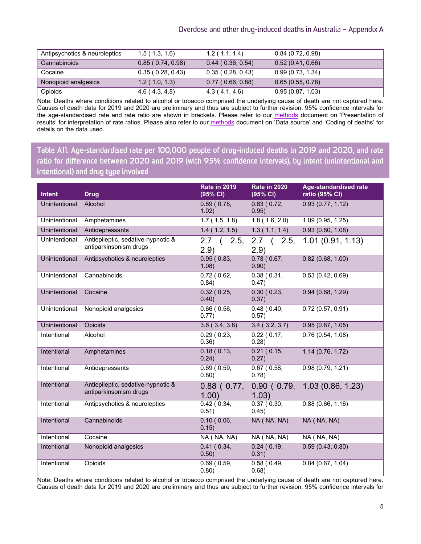| Antipsychotics & neuroleptics | 1.5(1.3, 1.6)    | 1.2(1.1, 1.4)              | 0.84(0.72, 0.98) |
|-------------------------------|------------------|----------------------------|------------------|
| Cannabinoids                  | 0.85(0.74, 0.98) | $0.44$ ( $0.36$ , $0.54$ ) | 0.52(0.41, 0.66) |
| Cocaine                       | 0.35(0.28, 0.43) | 0.35(0.28, 0.43)           | 0.99(0.73, 1.34) |
| Nonopioid analgesics          | 1.2(1.0, 1.3)    | 0.77(0.66, 0.88)           | 0.65(0.55, 0.78) |
| Opioids                       | 4.6(4.3, 4.8)    | 4.3(4.1, 4.6)              | 0.95(0.87, 1.03) |

Note: Deaths where conditions related to alcohol or tobacco comprised the underlying cause of death are not captured here. Causes of death data for 2019 and 2020 are preliminary and thus are subject to further revision. 95% confidence intervals for the age-standardised rate and rate ratio are shown in brackets. Please refer to our [methods](https://ndarc.med.unsw.edu.au/resource-analytics/trends-drug-induced-deaths-australia-1997-2020) document on 'Presentation of results' for interpretation of rate ratios. Please also refer to our [methods](https://ndarc.med.unsw.edu.au/resource-analytics/trends-drug-induced-deaths-australia-1997-2020) document on 'Data source' and 'Coding of deaths' for details on the data used.

Table A11. Age-standardised rate per 100,000 people of drug-induced deaths in 2019 and 2020, and rate ratio for difference between 2020 and 2019 (with 95% confidence intervals), by intent (unintentional and intentional) and drug type involved

| <b>Intent</b>        | <b>Drug</b>                                                  | <b>Rate in 2019</b><br>(95% CI) | <b>Rate in 2020</b><br>(95% CI) | <b>Age-standardised rate</b><br>ratio (95% CI) |
|----------------------|--------------------------------------------------------------|---------------------------------|---------------------------------|------------------------------------------------|
| Unintentional        | Alcohol                                                      | 0.89(0.78,<br>1.02)             | 0.83(0.72,<br>0.95)             | 0.93(0.77, 1.12)                               |
| Unintentional        | Amphetamines                                                 | 1.7(1.5, 1.8)                   | 1.8(1.6, 2.0)                   | 1.09(0.95, 1.25)                               |
| Unintentional        | Antidepressants                                              | 1.4(1.2, 1.5)                   | 1.3(1.1, 1.4)                   | 0.93(0.80, 1.08)                               |
| Unintentional        | Antiepileptic, sedative-hypnotic &<br>antiparkinsonism drugs | 2.7<br>(2.5,<br>(2.9)           | $2.7$ ( $2.5$<br>(2.9)          | 1.01(0.91, 1.13)                               |
| Unintentional        | Antipsychotics & neuroleptics                                | 0.95(0.83,<br>1.08)             | 0.78(0.67,<br>0.90)             | 0.82(0.68, 1.00)                               |
| Unintentional        | Cannabinoids                                                 | 0.72(0.62,<br>0.84)             | 0.38(0.31,<br>0.47)             | 0.53(0.42, 0.69)                               |
| Unintentional        | Cocaine                                                      | $0.32$ ( $0.25$ ,<br>0.40)      | 0.30(0.23,<br>0.37)             | 0.94(0.68, 1.29)                               |
| Unintentional        | Nonopioid analgesics                                         | 0.66(0.56,<br>0.77)             | 0.48(0.40,<br>0.57)             | 0.72(0.57, 0.91)                               |
| <b>Unintentional</b> | Opioids                                                      | 3.6(3.4, 3.8)                   | 3.4(3.2, 3.7)                   | 0.95(0.87, 1.05)                               |
| Intentional          | Alcohol                                                      | $0.29$ ( $0.23$ ,<br>0.36)      | 0.22(0.17,<br>0.28)             | 0.76(0.54, 1.08)                               |
| Intentional          | Amphetamines                                                 | 0.18(0.13,<br>0.24)             | 0.21(0.15,<br>0.27)             | 1.14(0.76, 1.72)                               |
| Intentional          | Antidepressants                                              | 0.69(0.59,<br>0.80)             | $0.67$ ( $0.58$ ,<br>0.78)      | 0.98(0.79, 1.21)                               |
| Intentional          | Antiepileptic, sedative-hypnotic &<br>antiparkinsonism drugs | $0.88$ ( $0.77$ ,<br>1.00)      | $0.90$ ( $0.79$ ,<br>1.03)      | 1.03(0.86, 1.23)                               |
| Intentional          | Antipsychotics & neuroleptics                                | 0.42(0.34,<br>0.51)             | 0.37(0.30,<br>0.45)             | 0.88(0.66, 1.16)                               |
| Intentional          | Cannabinoids                                                 | 0.10(0.06,<br>0.15)             | NA (NA, NA)                     | NA (NA, NA)                                    |
| Intentional          | Cocaine                                                      | NA (NA, NA)                     | NA (NA, NA)                     | NA (NA, NA)                                    |
| Intentional          | Nonopioid analgesics                                         | 0.41(0.34,<br>0.50)             | 0.24(0.19,<br>0.31)             | 0.59(0.43, 0.80)                               |
| Intentional          | Opioids                                                      | 0.69(0.59,<br>0.80)             | 0.58(0.49,<br>0.68)             | 0.84(0.67, 1.04)                               |

Note: Deaths where conditions related to alcohol or tobacco comprised the underlying cause of death are not captured here. Causes of death data for 2019 and 2020 are preliminary and thus are subject to further revision. 95% confidence intervals for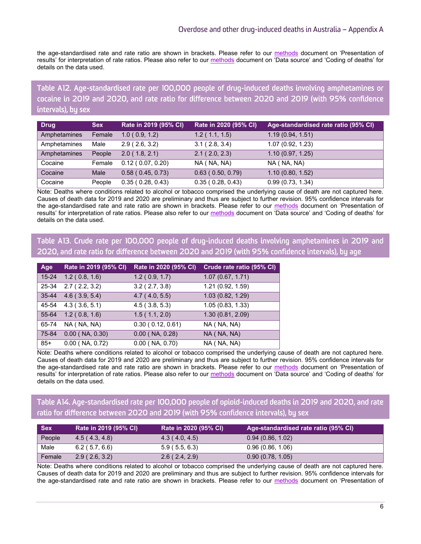the age-standardised rate and rate ratio are shown in brackets. Please refer to our [methods](https://ndarc.med.unsw.edu.au/resource-analytics/trends-drug-induced-deaths-australia-1997-2020) document on 'Presentation of results' for interpretation of rate ratios. Please also refer to our [methods](https://ndarc.med.unsw.edu.au/resource-analytics/trends-drug-induced-deaths-australia-1997-2020) document on 'Data source' and 'Coding of deaths' for details on the data used.

Table A12. Age-standardised rate per 100,000 people of drug-induced deaths involving amphetamines or cocaine in 2019 and 2020, and rate ratio for difference between 2020 and 2019 (with 95% confidence intervals), by sex

| <b>Drug</b>  | <b>Sex</b> | Rate in 2019 (95% CI)   | Rate in 2020 (95% CI)   | Age-standardised rate ratio (95% CI) |
|--------------|------------|-------------------------|-------------------------|--------------------------------------|
| Amphetamines | Female     | 1.0(0.9, 1.2)           | 1.2(1.1, 1.5)           | 1.19(0.94, 1.51)                     |
| Amphetamines | Male       | 2.9(2.6, 3.2)           | 3.1(2.8, 3.4)           | 1.07(0.92, 1.23)                     |
| Amphetamines | People     | 2.0(1.8, 2.1)           | 2.1(2.0, 2.3)           | 1.10(0.97, 1.25)                     |
| Cocaine      | Female     | 0.12(0.07, 0.20)        | NA (NA, NA)             | NA (NA, NA)                          |
| Cocaine      | Male       | $0.58$ ( $0.45, 0.73$ ) | $0.63$ ( $0.50, 0.79$ ) | 1.10(0.80, 1.52)                     |
| Cocaine      | People     | 0.35(0.28, 0.43)        | 0.35(0.28, 0.43)        | 0.99(0.73, 1.34)                     |

Note: Deaths where conditions related to alcohol or tobacco comprised the underlying cause of death are not captured here. Causes of death data for 2019 and 2020 are preliminary and thus are subject to further revision. 95% confidence intervals for the age-standardised rate and rate ratio are shown in brackets. Please refer to our [methods](https://ndarc.med.unsw.edu.au/resource-analytics/trends-drug-induced-deaths-australia-1997-2020) document on 'Presentation of results' for interpretation of rate ratios. Please also refer to our [methods](https://ndarc.med.unsw.edu.au/resource-analytics/trends-drug-induced-deaths-australia-1997-2020) document on 'Data source' and 'Coding of deaths' for details on the data used.

Table A13. Crude rate per 100,000 people of drug-induced deaths involving amphetamines in 2019 and 2020, and rate ratio for difference between 2020 and 2019 (with 95% confidence intervals), by age

| Age       | Rate in 2019 (95% CI) | Rate in 2020 (95% CI) | Crude rate ratio (95% CI) |
|-----------|-----------------------|-----------------------|---------------------------|
| $15 - 24$ | 1.2(0.8, 1.6)         | 1.2(0.9, 1.7)         | 1.07(0.67, 1.71)          |
| 25-34     | 2.7(2.2, 3.2)         | $3.2$ (2.7, 3.8)      | 1.21 (0.92, 1.59)         |
| $35 - 44$ | $4.6$ (3.9, 5.4)      | 4.7(4.0, 5.5)         | 1.03 (0.82, 1.29)         |
| 45-54     | 4.3(3.6, 5.1)         | 4.5(3.8, 5.3)         | 1.05(0.83, 1.33)          |
| 55-64     | 1.2(0.8, 1.6)         | 1.5(1.1, 2.0)         | 1.30 (0.81, 2.09)         |
| 65-74     | NA (NA, NA)           | 0.30(0.12, 0.61)      | NA (NA, NA)               |
| 75-84     | $0.00$ (NA, $0.30$ )  | $0.00$ (NA, $0.28$ )  | NA (NA, NA)               |
| $85+$     | $0.00$ (NA, $0.72$ )  | $0.00$ (NA, $0.70$ )  | NA (NA, NA)               |

Note: Deaths where conditions related to alcohol or tobacco comprised the underlying cause of death are not captured here. Causes of death data for 2019 and 2020 are preliminary and thus are subject to further revision. 95% confidence intervals for the age-standardised rate and rate ratio are shown in brackets. Please refer to our [methods](https://ndarc.med.unsw.edu.au/resource-analytics/trends-drug-induced-deaths-australia-1997-2020) document on 'Presentation of results' for interpretation of rate ratios. Please also refer to our [methods](https://ndarc.med.unsw.edu.au/resource-analytics/trends-drug-induced-deaths-australia-1997-2020) document on 'Data source' and 'Coding of deaths' for details on the data used.

## Table A14. Age-standardised rate per 100,000 people of opioid-induced deaths in 2019 and 2020, and rate ratio for difference between 2020 and 2019 (with 95% confidence intervals), by sex

| <b>Sex</b> | Rate in 2019 (95% CI) | Rate in 2020 (95% CI) | Age-standardised rate ratio (95% CI) |
|------------|-----------------------|-----------------------|--------------------------------------|
| People     | 4.5(4.3, 4.8)         | 4.3(4.0, 4.5)         | 0.94(0.86, 1.02)                     |
| Male       | $6.2$ (5.7, 6.6)      | 5.9(5.5, 6.3)         | 0.96(0.86, 1.06)                     |
| Female     | 2.9(2.6, 3.2)         | 2.6(2.4, 2.9)         | 0.90(0.78, 1.05)                     |

Note: Deaths where conditions related to alcohol or tobacco comprised the underlying cause of death are not captured here. Causes of death data for 2019 and 2020 are preliminary and thus are subject to further revision. 95% confidence intervals for the age-standardised rate and rate ratio are shown in brackets. Please refer to our [methods](https://ndarc.med.unsw.edu.au/resource-analytics/trends-drug-induced-deaths-australia-1997-2020) document on 'Presentation of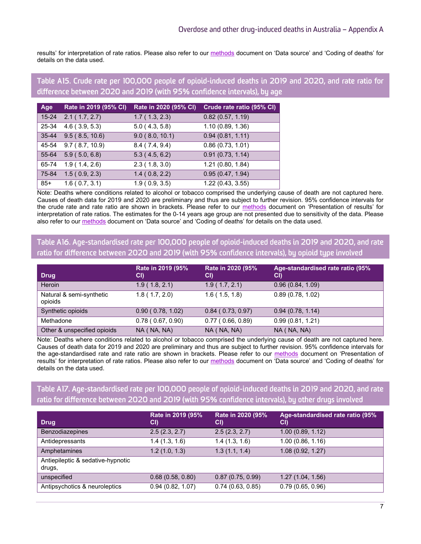results' for interpretation of rate ratios. Please also refer to our [methods](https://ndarc.med.unsw.edu.au/resource-analytics/trends-drug-induced-deaths-australia-1997-2020) document on 'Data source' and 'Coding of deaths' for details on the data used.

#### Table A15. Crude rate per 100,000 people of opioid-induced deaths in 2019 and 2020, and rate ratio for difference between 2020 and 2019 (with 95% confidence intervals), by age

| Age       | Rate in 2019 (95% CI) | Rate in 2020 (95% CI) | Crude rate ratio (95% CI) |
|-----------|-----------------------|-----------------------|---------------------------|
| $15 - 24$ | 2.1(1.7, 2.7)         | 1.7(1.3, 2.3)         | 0.82(0.57, 1.19)          |
| 25-34     | $4.6$ (3.9, 5.3)      | 5.0(4.3, 5.8)         | 1.10(0.89, 1.36)          |
| $35 - 44$ | 9.5(8.5, 10.6)        | 9.0(8.0, 10.1)        | 0.94(0.81, 1.11)          |
| 45-54     | 9.7(8.7, 10.9)        | 8.4(7.4, 9.4)         | 0.86(0.73, 1.01)          |
| 55-64     | 5.9(5.0, 6.8)         | 5.3(4.5, 6.2)         | 0.91(0.73, 1.14)          |
| 65-74     | 1.9(1.4, 2.6)         | 2.3(1.8, 3.0)         | 1.21 (0.80, 1.84)         |
| 75-84     | 1.5(0.9, 2.3)         | 1.4(0.8, 2.2)         | 0.95(0.47, 1.94)          |
| 85+       | 1.6(0.7, 3.1)         | 1.9(0.9, 3.5)         | 1.22 (0.43, 3.55)         |

Note: Deaths where conditions related to alcohol or tobacco comprised the underlying cause of death are not captured here. Causes of death data for 2019 and 2020 are preliminary and thus are subject to further revision. 95% confidence intervals for the crude rate and rate ratio are shown in brackets. Please refer to our [methods](https://ndarc.med.unsw.edu.au/resource-analytics/trends-drug-induced-deaths-australia-1997-2020) document on 'Presentation of results' for interpretation of rate ratios. The estimates for the 0-14 years age group are not presented due to sensitivity of the data. Please also refer to ou[r methods](https://ndarc.med.unsw.edu.au/resource-analytics/trends-drug-induced-deaths-australia-1997-2020) document on 'Data source' and 'Coding of deaths' for details on the data used.

#### Table A16. Age-standardised rate per 100,000 people of opioid-induced deaths in 2019 and 2020, and rate ratio for difference between 2020 and 2019 (with 95% confidence intervals), by opioid type involved

| <b>Drug</b>                         | Rate in 2019 (95%<br>CI) | Rate in 2020 (95%<br>CI)   | Age-standardised rate ratio (95%<br>CI) |
|-------------------------------------|--------------------------|----------------------------|-----------------------------------------|
| Heroin                              | 1.9(1.8, 2.1)            | 1.9(1.7, 2.1)              | 0.96(0.84, 1.09)                        |
| Natural & semi-synthetic<br>opioids | 1.8(1.7, 2.0)            | 1.6(1.5, 1.8)              | 0.89(0.78, 1.02)                        |
| Synthetic opioids                   | 0.90(0.78, 1.02)         | $0.84$ ( $0.73$ , $0.97$ ) | 0.94(0.78, 1.14)                        |
| Methadone                           | 0.78(0.67, 0.90)         | 0.77(0.66, 0.89)           | 0.99(0.81, 1.21)                        |
| Other & unspecified opioids         | NA (NA, NA)              | NA (NA, NA)                | NA (NA, NA)                             |

Note: Deaths where conditions related to alcohol or tobacco comprised the underlying cause of death are not captured here. Causes of death data for 2019 and 2020 are preliminary and thus are subject to further revision. 95% confidence intervals for the age-standardised rate and rate ratio are shown in brackets. Please refer to our [methods](https://ndarc.med.unsw.edu.au/resource-analytics/trends-drug-induced-deaths-australia-1997-2020) document on 'Presentation of results' for interpretation of rate ratios. Please also refer to our [methods](https://ndarc.med.unsw.edu.au/resource-analytics/trends-drug-induced-deaths-australia-1997-2020) document on 'Data source' and 'Coding of deaths' for details on the data used.

## Table A17. Age-standardised rate per 100,000 people of opioid-induced deaths in 2019 and 2020, and rate ratio for difference between 2020 and 2019 (with 95% confidence intervals), by other drugs involved

| <b>Drug</b>                                 | Rate in 2019 (95%<br>CI) | Rate in 2020 (95%<br>CI) | Age-standardised rate ratio (95%<br>CI) |
|---------------------------------------------|--------------------------|--------------------------|-----------------------------------------|
| Benzodiazepines                             | 2.5(2.3, 2.7)            | 2.5(2.3, 2.7)            | 1.00(0.89, 1.12)                        |
| Antidepressants                             | 1.4(1.3, 1.6)            | 1.4(1.3, 1.6)            | 1.00(0.86, 1.16)                        |
| Amphetamines                                | 1.2(1.0, 1.3)            | 1.3(1.1, 1.4)            | 1.08 (0.92, 1.27)                       |
| Antiepileptic & sedative-hypnotic<br>drugs, |                          |                          |                                         |
| unspecified                                 | 0.68(0.58, 0.80)         | 0.87(0.75, 0.99)         | 1.27(1.04, 1.56)                        |
| Antipsychotics & neuroleptics               | 0.94(0.82, 1.07)         | 0.74(0.63, 0.85)         | 0.79(0.65, 0.96)                        |